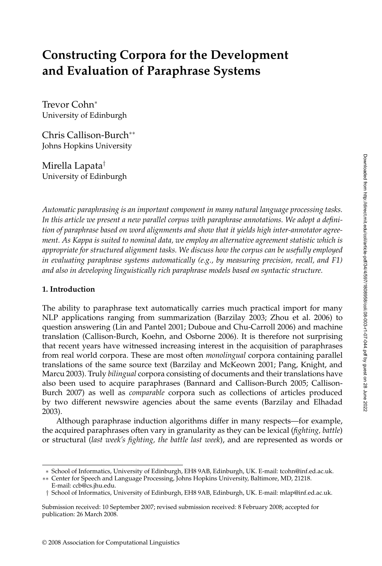# **Constructing Corpora for the Development and Evaluation of Paraphrase Systems**

Trevor Cohn<sup>∗</sup> University of Edinburgh

Chris Callison-Burch∗∗ Johns Hopkins University

Mirella Lapata† University of Edinburgh

*Automatic paraphrasing is an important component in many natural language processing tasks. In this article we present a new parallel corpus with paraphrase annotations. We adopt a definition of paraphrase based on word alignments and show that it yields high inter-annotator agreement. As Kappa is suited to nominal data, we employ an alternative agreement statistic which is appropriate for structured alignment tasks. We discuss how the corpus can be usefully employed in evaluating paraphrase systems automatically (e.g., by measuring precision, recall, and F1) and also in developing linguistically rich paraphrase models based on syntactic structure.*

# **1. Introduction**

The ability to paraphrase text automatically carries much practical import for many NLP applications ranging from summarization (Barzilay 2003; Zhou et al. 2006) to question answering (Lin and Pantel 2001; Duboue and Chu-Carroll 2006) and machine translation (Callison-Burch, Koehn, and Osborne 2006). It is therefore not surprising that recent years have witnessed increasing interest in the acquisition of paraphrases fromreal world corpora. These are most often *monolingual* corpora containing parallel translations of the same source text (Barzilay and McKeown 2001; Pang, Knight, and Marcu 2003). Truly *bilingual* corpora consisting of documents and their translations have also been used to acquire paraphrases (Bannard and Callison-Burch 2005; Callison-Burch 2007) as well as *comparable* corpora such as collections of articles produced by two different newswire agencies about the same events (Barzilay and Elhadad 2003).

Although paraphrase induction algorithms differ in many respects—for example, the acquired paraphrases often vary in granularity as they can be lexical (*fighting, battle*) or structural (*last week's fighting, the battle last week*), and are represented as words or

<sup>∗</sup> School of Informatics, University of Edinburgh, EH8 9AB, Edinburgh, UK. E-mail: tcohn@inf.ed.ac.uk.

<sup>∗∗</sup> Center for Speech and Language Processing, Johns Hopkins University, Baltimore, MD, 21218. E-mail: ccb@cs.jhu.edu.

<sup>†</sup> School of Informatics, University of Edinburgh, EH8 9AB, Edinburgh, UK. E-mail: mlap@inf.ed.ac.uk.

Submission received: 10 September 2007; revised submission received: 8 February 2008; accepted for publication: 26 March 2008.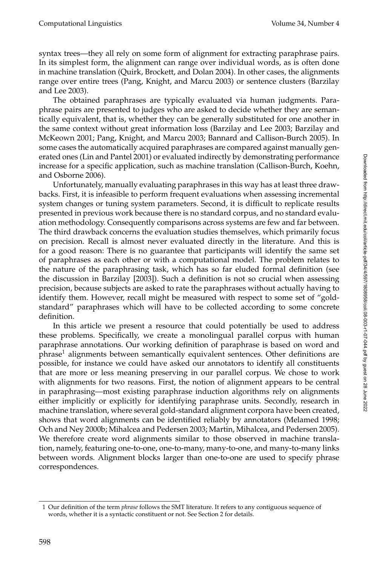syntax trees—they all rely on some form of alignment for extracting paraphrase pairs. In its simplest form, the alignment can range over individual words, as is often done in machine translation (Quirk, Brockett, and Dolan 2004). In other cases, the alignments range over entire trees (Pang, Knight, and Marcu 2003) or sentence clusters (Barzilay and Lee 2003).

The obtained paraphrases are typically evaluated via human judgments. Paraphrase pairs are presented to judges who are asked to decide whether they are semantically equivalent, that is, whether they can be generally substituted for one another in the same context without great information loss (Barzilay and Lee 2003; Barzilay and McKeown 2001; Pang, Knight, and Marcu 2003; Bannard and Callison-Burch 2005). In some cases the automatically acquired paraphrases are compared against manually generated ones (Lin and Pantel 2001) or evaluated indirectly by demonstrating performance increase for a specific application, such as machine translation (Callison-Burch, Koehn, and Osborne 2006).

Unfortunately, manually evaluating paraphrases in this way has at least three drawbacks. First, it is infeasible to performfrequent evaluations when assessing incremental system changes or tuning system parameters. Second, it is difficult to replicate results presented in previous work because there is no standard corpus, and no standard evaluation methodology. Consequently comparisons across systems are few and far between. The third drawback concerns the evaluation studies themselves, which primarily focus on precision. Recall is almost never evaluated directly in the literature. And this is for a good reason: There is no guarantee that participants will identify the same set of paraphrases as each other or with a computational model. The problem relates to the nature of the paraphrasing task, which has so far eluded formal definition (see the discussion in Barzilay [2003]). Such a definition is not so crucial when assessing precision, because subjects are asked to rate the paraphrases without actually having to identify them. However, recall might be measured with respect to some set of "goldstandard" paraphrases which will have to be collected according to some concrete definition.

In this article we present a resource that could potentially be used to address these problems. Specifically, we create a monolingual parallel corpus with human paraphrase annotations. Our working definition of paraphrase is based on word and phrase<sup>1</sup> alignments between semantically equivalent sentences. Other definitions are possible, for instance we could have asked our annotators to identify all constituents that are more or less meaning preserving in our parallel corpus. We chose to work with alignments for two reasons. First, the notion of alignment appears to be central in paraphrasing—most existing paraphrase induction algorithms rely on alignments either implicitly or explicitly for identifying paraphrase units. Secondly, research in machine translation, where several gold-standard alignment corpora have been created, shows that word alignments can be identified reliably by annotators (Melamed 1998; Och and Ney 2000b; Mihalcea and Pedersen 2003; Martin, Mihalcea, and Pedersen 2005). We therefore create word alignments similar to those observed in machine translation, namely, featuring one-to-one, one-to-many, many-to-one, and many-to-many links between words. Alignment blocks larger than one-to-one are used to specify phrase correspondences.

<sup>1</sup> Our definition of the term *phrase* follows the SMT literature. It refers to any contiguous sequence of words, whether it is a syntactic constituent or not. See Section 2 for details.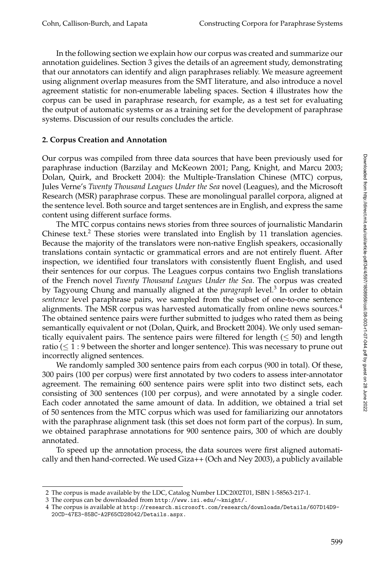In the following section we explain how our corpus was created and summarize our annotation guidelines. Section 3 gives the details of an agreement study, demonstrating that our annotators can identify and align paraphrases reliably. We measure agreement using alignment overlap measures from the SMT literature, and also introduce a novel agreement statistic for non-enumerable labeling spaces. Section 4 illustrates how the corpus can be used in paraphrase research, for example, as a test set for evaluating the output of automatic systems or as a training set for the development of paraphrase systems. Discussion of our results concludes the article.

# **2. Corpus Creation and Annotation**

Our corpus was compiled from three data sources that have been previously used for paraphrase induction (Barzilay and McKeown 2001; Pang, Knight, and Marcu 2003; Dolan, Quirk, and Brockett 2004): the Multiple-Translation Chinese (MTC) corpus, Jules Verne's *Twenty Thousand Leagues Under the Sea* novel (Leagues), and the Microsoft Research (MSR) paraphrase corpus. These are monolingual parallel corpora, aligned at the sentence level. Both source and target sentences are in English, and express the same content using different surface forms.

The MTC corpus contains news stories from three sources of journalistic Mandarin Chinese text.<sup>2</sup> These stories were translated into English by 11 translation agencies. Because the majority of the translators were non-native English speakers, occasionally translations contain syntactic or grammatical errors and are not entirely fluent. After inspection, we identified four translators with consistently fluent English, and used their sentences for our corpus. The Leagues corpus contains two English translations of the French novel *Twenty Thousand Leagues Under the Sea*. The corpus was created by Tagyoung Chung and manually aligned at the *paragraph* level.<sup>3</sup> In order to obtain *sentence* level paraphrase pairs, we sampled from the subset of one-to-one sentence alignments. The MSR corpus was harvested automatically from online news sources. $4$ The obtained sentence pairs were further submitted to judges who rated them as being semantically equivalent or not (Dolan, Quirk, and Brockett 2004). We only used semantically equivalent pairs. The sentence pairs were filtered for length  $( \leq 50)$  and length ratio ( $\leq 1:9$  between the shorter and longer sentence). This was necessary to prune out incorrectly aligned sentences.

We randomly sampled 300 sentence pairs from each corpus (900 in total). Of these, 300 pairs (100 per corpus) were first annotated by two coders to assess inter-annotator agreement. The remaining 600 sentence pairs were split into two distinct sets, each consisting of 300 sentences (100 per corpus), and were annotated by a single coder. Each coder annotated the same amount of data. In addition, we obtained a trial set of 50 sentences from the MTC corpus which was used for familiarizing our annotators with the paraphrase alignment task (this set does not form part of the corpus). In sum, we obtained paraphrase annotations for 900 sentence pairs, 300 of which are doubly annotated.

To speed up the annotation process, the data sources were first aligned automatically and then hand-corrected. We used Giza++ (Och and Ney 2003), a publicly available

<sup>2</sup> The corpus is made available by the LDC, Catalog Number LDC2002T01, ISBN 1-58563-217-1.

<sup>3</sup> The corpus can be downloaded from http://www.isi.edu/∼knight/.

<sup>4</sup> The corpus is available at http://research.microsoft.com/research/downloads/Details/607D14D9- 20CD-47E3-85BC-A2F65CD28042/Details.aspx.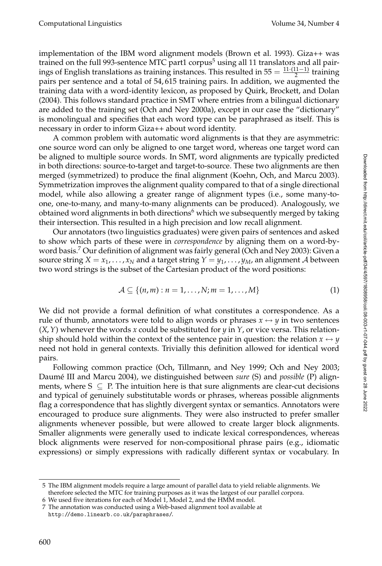implementation of the IBM word alignment models (Brown et al. 1993). Giza++ was trained on the full 993-sentence MTC part1 corpus<sup>5</sup> using all 11 translators and all pairings of English translations as training instances. This resulted in  $55 = \frac{11 \cdot (11 - 1)}{2}$  training pairs per sentence and a total of 54, 615 training pairs. In addition, we augmented the training data with a word-identity lexicon, as proposed by Quirk, Brockett, and Dolan (2004). This follows standard practice in SMT where entries froma bilingual dictionary are added to the training set (Och and Ney 2000a), except in our case the "dictionary" is monolingual and specifies that each word type can be paraphrased as itself. This is necessary in order to informGiza++ about word identity.

A common problem with automatic word alignments is that they are asymmetric: one source word can only be aligned to one target word, whereas one target word can be aligned to multiple source words. In SMT, word alignments are typically predicted in both directions: source-to-target and target-to-source. These two alignments are then merged (symmetrized) to produce the final alignment (Koehn, Och, and Marcu 2003). Symmetrization improves the alignment quality compared to that of a single directional model, while also allowing a greater range of alignment types (i.e., some many-toone, one-to-many, and many-to-many alignments can be produced). Analogously, we obtained word alignments in both directions $\mathfrak{b}$  which we subsequently merged by taking their intersection. This resulted in a high precision and low recall alignment.

Our annotators (two linguistics graduates) were given pairs of sentences and asked to show which parts of these were in *correspondence* by aligning themon a word-byword basis.<sup>7</sup> Our definition of alignment was fairly general (Och and Ney 2003): Given a source string  $X = x_1, \ldots, x_N$  and a target string  $Y = y_1, \ldots, y_M$ , an alignment A between two word strings is the subset of the Cartesian product of the word positions:

$$
\mathcal{A} \subseteq \{(n,m): n=1,\ldots,N; m=1,\ldots,M\}
$$
 (1)

We did not provide a formal definition of what constitutes a correspondence. As a rule of thumb, annotators were told to align words or phrases  $x \leftrightarrow y$  in two sentences (*X*,*Y*) whenever the words *x* could be substituted for *y* in *Y*, or vice versa. This relationship should hold within the context of the sentence pair in question: the relation  $x \leftrightarrow y$ need not hold in general contexts. Trivially this definition allowed for identical word pairs.

Following common practice (Och, Tillmann, and Ney 1999; Och and Ney 2003; Daumé III and Marcu 2004), we distinguished between *sure* (S) and *possible* (P) alignments, where  $S \subseteq P$ . The intuition here is that sure alignments are clear-cut decisions and typical of genuinely substitutable words or phrases, whereas possible alignments flag a correspondence that has slightly divergent syntax or semantics. Annotators were encouraged to produce sure alignments. They were also instructed to prefer smaller alignments whenever possible, but were allowed to create larger block alignments. Smaller alignments were generally used to indicate lexical correspondences, whereas block alignments were reserved for non-compositional phrase pairs (e.g., idiomatic expressions) or simply expressions with radically different syntax or vocabulary. In

<sup>5</sup> The IBM alignment models require a large amount of parallel data to yield reliable alignments. We therefore selected the MTC for training purposes as it was the largest of our parallel corpora.

<sup>6</sup> We used five iterations for each of Model 1, Model 2, and the HMM model.

<sup>7</sup> The annotation was conducted using a Web-based alignment tool available at http://demo.linearb.co.uk/paraphrases/.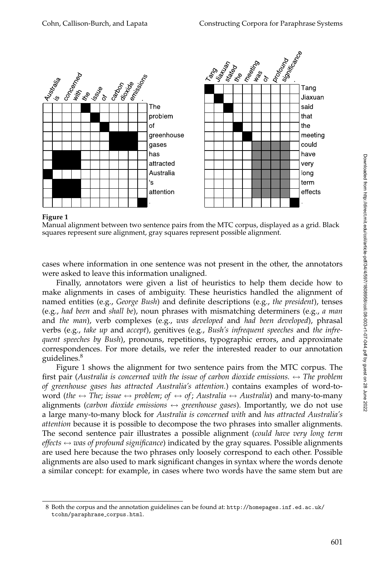

**Figure 1**

Manual alignment between two sentence pairs from the MTC corpus, displayed as a grid. Black squares represent sure alignment, gray squares represent possible alignment.

cases where information in one sentence was not present in the other, the annotators were asked to leave this information unaligned.

Finally, annotators were given a list of heuristics to help them decide how to make alignments in cases of ambiguity. These heuristics handled the alignment of named entities (e.g., *George Bush*) and definite descriptions (e.g., *the president*), tenses (e.g., *had been* and *shall be*), noun phrases with mismatching determiners (e.g., *a man* and *the man*), verb complexes (e.g., *was developed* and *had been developed*), phrasal verbs (e.g., *take up* and *accept*), genitives (e.g., *Bush's infrequent speeches* and *the infrequent speeches by Bush*), pronouns, repetitions, typographic errors, and approximate correspondences. For more details, we refer the interested reader to our annotation guidelines.<sup>8</sup>

Figure 1 shows the alignment for two sentence pairs from the MTC corpus. The first pair (*Australia is concerned with the issue of carbon dioxide emissions.* ↔ *The problem of greenhouse gases has attracted Australia's attention.*) contains examples of word-toword (*the*  $\leftrightarrow$  *The*; *issue*  $\leftrightarrow$  *problem*; *of*  $\leftrightarrow$  *of*; *Australia*  $\leftrightarrow$  *Australia*) and many-to-many alignments (*carbon dioxide emissions*  $\leftrightarrow$  *greenhouse gases*). Importantly, we do not use a large many-to-many block for *Australia is concerned with* and *has attracted Australia's attention* because it is possible to decompose the two phrases into smaller alignments. The second sentence pair illustrates a possible alignment (*could have very long term effects*  $\leftrightarrow$  *was of profound significance*) indicated by the gray squares. Possible alignments are used here because the two phrases only loosely correspond to each other. Possible alignments are also used to mark significant changes in syntax where the words denote a similar concept: for example, in cases where two words have the same stem but are

<sup>8</sup> Both the corpus and the annotation guidelines can be found at: http://homepages.inf.ed.ac.uk/ tcohn/paraphrase corpus.html.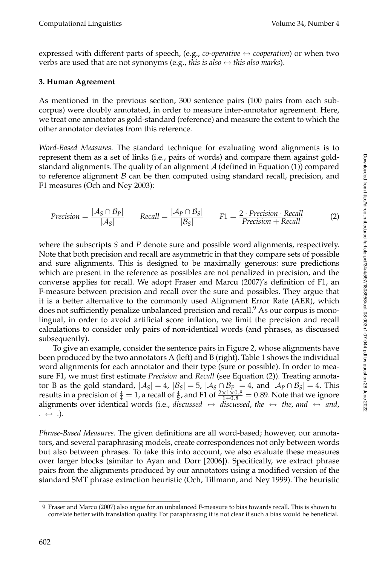expressed with different parts of speech, (e.g., *co-operative*  $\leftrightarrow$  *cooperation*) or when two verbs are used that are not synonyms (e.g., *this is also*  $\leftrightarrow$  *this also marks*).

# **3. Human Agreement**

As mentioned in the previous section, 300 sentence pairs (100 pairs from each subcorpus) were doubly annotated, in order to measure inter-annotator agreement. Here, we treat one annotator as gold-standard (reference) and measure the extent to which the other annotator deviates from this reference.

*Word-Based Measures.* The standard technique for evaluating word alignments is to represent themas a set of links (i.e., pairs of words) and compare themagainst goldstandard alignments. The quality of an alignment  $A$  (defined in Equation (1)) compared to reference alignment  $\beta$  can be then computed using standard recall, precision, and F1 measures (Och and Ney 2003):

$$
Precision = \frac{|\mathcal{A}_S \cap \mathcal{B}_P|}{|\mathcal{A}_S|} \qquad Recall = \frac{|\mathcal{A}_P \cap \mathcal{B}_S|}{|\mathcal{B}_S|} \qquad F1 = \frac{2 \cdot Precision \cdot Recall}{Precision + Recall} \tag{2}
$$

where the subscripts *S* and *P* denote sure and possible word alignments, respectively. Note that both precision and recall are asymmetric in that they compare sets of possible and sure alignments. This is designed to be maximally generous: sure predictions which are present in the reference as possibles are not penalized in precision, and the converse applies for recall. We adopt Fraser and Marcu (2007)'s definition of F1, an F-measure between precision and recall over the sure and possibles. They argue that it is a better alternative to the commonly used Alignment Error Rate (AER), which does not sufficiently penalize unbalanced precision and recall.<sup>9</sup> As our corpus is monolingual, in order to avoid artificial score inflation, we limit the precision and recall calculations to consider only pairs of non-identical words (and phrases, as discussed subsequently).

To give an example, consider the sentence pairs in Figure 2, whose alignments have been produced by the two annotators A (left) and B (right). Table 1 shows the individual word alignments for each annotator and their type (sure or possible). In order to measure F1, we must first estimate *Precision* and *Recall* (see Equation (2)). Treating annotator B as the gold standard,  $|\mathcal{A}_S| = 4$ ,  $|\mathcal{B}_S| = 5$ ,  $|\mathcal{A}_S \cap \mathcal{B}_P| = 4$ , and  $|\mathcal{A}_P \cap \mathcal{B}_S| = 4$ . This results in a precision of  $\frac{4}{4} = 1$ , a recall of  $\frac{4}{5}$ , and F1 of  $\frac{2 \times 1 \times 0.8}{1+0.8} = 0.89$ . Note that we ignore alignments over identical words (i.e., *discussed*  $\leftrightarrow$  *discussed, the*  $\leftrightarrow$  *the, and*  $\leftrightarrow$  *and, .* ↔ *.*).

*Phrase-Based Measures.* The given definitions are all word-based; however, our annotators, and several paraphrasing models, create correspondences not only between words but also between phrases. To take this into account, we also evaluate these measures over larger blocks (similar to Ayan and Dorr [2006]). Specifically, we extract phrase pairs from the alignments produced by our annotators using a modified version of the standard SMT phrase extraction heuristic (Och, Tillmann, and Ney 1999). The heuristic

<sup>9</sup> Fraser and Marcu (2007) also argue for an unbalanced F-measure to bias towards recall. This is shown to correlate better with translation quality. For paraphrasing it is not clear if such a bias would be beneficial.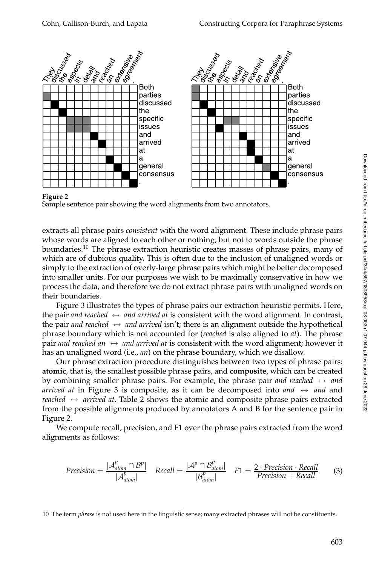

## **Figure 2**

Sample sentence pair showing the word alignments from two annotators.

extracts all phrase pairs *consistent* with the word alignment. These include phrase pairs whose words are aligned to each other or nothing, but not to words outside the phrase boundaries.<sup>10</sup> The phrase extraction heuristic creates masses of phrase pairs, many of which are of dubious quality. This is often due to the inclusion of unaligned words or simply to the extraction of overly-large phrase pairs which might be better decomposed into smaller units. For our purposes we wish to be maximally conservative in how we process the data, and therefore we do not extract phrase pairs with unaligned words on their boundaries.

Figure 3 illustrates the types of phrase pairs our extraction heuristic permits. Here, the pair *and reached*  $\leftrightarrow$  *and arrived at* is consistent with the word alignment. In contrast, the pair *and reached*  $\leftrightarrow$  *and arrived* isn't; there is an alignment outside the hypothetical phrase boundary which is not accounted for (*reached* is also aligned to *at*). The phrase pair *and reached an*  $\leftrightarrow$  *and arrived at* is consistent with the word alignment; however it has an unaligned word (i.e., *an*) on the phrase boundary, which we disallow.

Our phrase extraction procedure distinguishes between two types of phrase pairs: **atomic**, that is, the smallest possible phrase pairs, and **composite**, which can be created by combining smaller phrase pairs. For example, the phrase pair *and reached*  $\leftrightarrow$  *and arrived at* in Figure 3 is composite, as it can be decomposed into *and*  $\leftrightarrow$  *and* and *reached* ↔ *arrived at*. Table 2 shows the atomic and composite phrase pairs extracted fromthe possible alignments produced by annotators A and B for the sentence pair in Figure 2.

We compute recall, precision, and F1 over the phrase pairs extracted from the word alignments as follows:

$$
Precision = \frac{|\mathcal{A}_{atom}^p \cap \mathcal{B}^p|}{|\mathcal{A}_{atom}^p|} \quad Recall = \frac{|\mathcal{A}^p \cap \mathcal{B}_{atom}^p|}{|\mathcal{B}_{atom}^p|} \quad F1 = \frac{2 \cdot Precision \cdot Recall}{Precision + Recall} \tag{3}
$$

<sup>10</sup> The term *phrase* is not used here in the linguistic sense; many extracted phrases will not be constituents.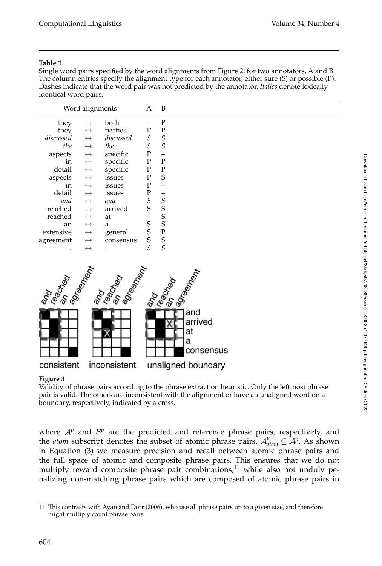## **Table 1**

Single word pairs specified by the word alignments from Figure 2, for two annotators, A and B. The column entries specify the alignment type for each annotator, either sure (S) or possible (P). Dashes indicate that the word pair was not predicted by the annotator. *Italics* denote lexically identical word pairs.

| Word alignments | A                 | В         |   |          |  |
|-----------------|-------------------|-----------|---|----------|--|
| they            | $\leftrightarrow$ | both      |   | P        |  |
| they            | $\leftrightarrow$ | parties   | P | P        |  |
| discussed       | $\leftrightarrow$ | discussed | S | S        |  |
| the             | $\leftrightarrow$ | the       | S | S        |  |
| aspects         | $\leftrightarrow$ | specific  | P |          |  |
| in              | $\leftrightarrow$ | specific  | P | P        |  |
| detail          | $\leftrightarrow$ | specific  | P | Ρ        |  |
| aspects         | $\leftrightarrow$ | issues    | P | S        |  |
| in              | $\leftrightarrow$ | issues    | P |          |  |
| detail          | $\leftrightarrow$ | issues    | P |          |  |
| and             | $\leftrightarrow$ | and       | S | $\cal S$ |  |
| reached         | $\leftrightarrow$ | arrived   | S | S        |  |
| reached         | $\leftrightarrow$ | at        |   | S        |  |
| an              | $\leftrightarrow$ | a         | S | S        |  |
| extensive       | $\leftrightarrow$ | general   | S | P        |  |
| agreement       | $\leftrightarrow$ | consensus | S | S        |  |
|                 | $\leftrightarrow$ |           | S | S        |  |



## **Figure 3**

Validity of phrase pairs according to the phrase extraction heuristic. Only the leftmost phrase pair is valid. The others are inconsistent with the alignment or have an unaligned word on a boundary, respectively, indicated by a cross.

where  $A^p$  and  $B^p$  are the predicted and reference phrase pairs, respectively, and the *atom* subscript denotes the subset of atomic phrase pairs,  $A_{atom}^p \subseteq A^p$ . As shown in Equation (3) we measure precision and recall between atomic phrase pairs and the full space of atomic and composite phrase pairs. This ensures that we do not multiply reward composite phrase pair combinations, $11$  while also not unduly penalizing non-matching phrase pairs which are composed of atomic phrase pairs in

<sup>11</sup> This contrasts with Ayan and Dorr (2006), who use all phrase pairs up to a given size, and therefore might multiply count phrase pairs.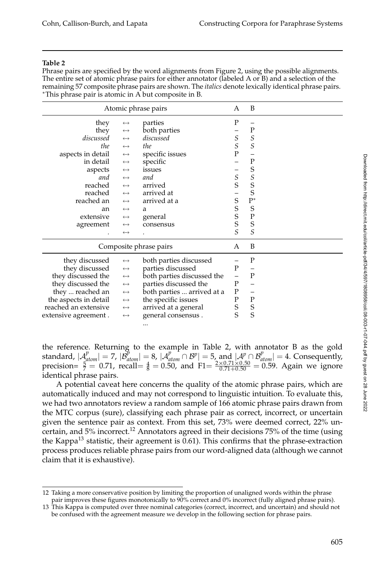## **Table 2**

Phrase pairs are specified by the word alignments from Figure 2, using the possible alignments. The entire set of atomic phrase pairs for either annotator (labeled A or B) and a selection of the remaining 57 composite phrase pairs are shown. The *italics* denote lexically identical phrase pairs. ∗This phrase pair is atomic in A but composite in B.

| Atomic phrase pairs                                             |                                               |                            |                   | B                        |  |
|-----------------------------------------------------------------|-----------------------------------------------|----------------------------|-------------------|--------------------------|--|
| they                                                            | $\longleftrightarrow$                         | parties                    | $\mathbf P$       |                          |  |
| they                                                            | $\longleftrightarrow$                         | both parties               |                   | $\mathbf P$              |  |
| discussed                                                       | $\leftrightarrow$                             | discussed                  | $\mathcal{S}_{0}$ | $\mathcal{S}_{0}$        |  |
| the                                                             | $\longleftrightarrow$                         | the                        | $\mathcal{S}_{0}$ | S                        |  |
| aspects in detail                                               | $\longleftrightarrow$                         | specific issues            | $\mathbf P$       |                          |  |
| in detail                                                       | $\longleftrightarrow$                         | specific                   |                   | $\mathbf P$              |  |
| aspects                                                         | $\longleftrightarrow$                         | issues                     |                   | S                        |  |
| and                                                             | $\longleftrightarrow$                         | and                        |                   |                          |  |
| reached                                                         | $\longleftrightarrow$                         | arrived                    | $\frac{S}{S}$     | $S_S$                    |  |
| reached                                                         | $\leftrightarrow$                             | arrived at                 |                   |                          |  |
| reached an                                                      | $\longleftrightarrow$                         | arrived at a               | $\mathbf S$       | $\mathbf{P}^*$           |  |
| an                                                              | $\longleftrightarrow$                         | a                          |                   | S                        |  |
| extensive                                                       | $\longleftrightarrow$                         | general                    | $S_S$             | $\mathbf P$              |  |
| agreement                                                       | $\longleftrightarrow$                         | consensus                  |                   | S                        |  |
|                                                                 | $\leftrightarrow$                             |                            | $\mathcal{S}_{0}$ | $\mathcal{S}_{0}$        |  |
|                                                                 |                                               | Composite phrase pairs     | A                 | B                        |  |
| they discussed                                                  | $\longleftrightarrow$                         | both parties discussed     |                   | P                        |  |
| they discussed                                                  | $\longleftrightarrow$                         | parties discussed          | P                 |                          |  |
| they discussed the                                              | $\longleftrightarrow$                         | both parties discussed the | $\qquad \qquad -$ | P                        |  |
| they discussed the                                              | $\longleftrightarrow$                         | parties discussed the      | ${\bf P}$         | -                        |  |
| they  reached an                                                | $\longleftrightarrow$                         | both parties  arrived at a | ${\bf P}$         | $\overline{\phantom{m}}$ |  |
| the aspects in detail                                           | $\longleftrightarrow$                         | the specific issues        | $\mathbf P$       | P                        |  |
| reached an extensive                                            | arrived at a general<br>$\longleftrightarrow$ |                            |                   |                          |  |
| general consensus.<br>extensive agreement.<br>$\leftrightarrow$ |                                               | $S_S$                      | $\frac{S}{S}$     |                          |  |
|                                                                 |                                               |                            |                   |                          |  |

the reference. Returning to the example in Table 2, with annotator B as the gold standard,  $|A_{atom}^p| = 7$ ,  $|B_{atom}^p| = 8$ ,  $|A_{atom}^p \cap B^p| = 5$ , and  $|A^p \cap B_{atom}^p| = 4$ . Consequently, precision=  $\frac{5}{7}$  = 0.71, recall=  $\frac{4}{8}$  = 0.50, and F1=  $\frac{2 \times 0.71 \times 0.50}{0.71 + 0.50}$  = 0.59. Again we ignore identical phrase pairs.

A potential caveat here concerns the quality of the atomic phrase pairs, which are automatically induced and may not correspond to linguistic intuition. To evaluate this, we had two annotators review a random sample of 166 atomic phrase pairs drawn from the MTC corpus (sure), classifying each phrase pair as correct, incorrect, or uncertain given the sentence pair as context. From this set, 73% were deemed correct, 22% uncertain, and 5% incorrect.<sup>12</sup> Annotators agreed in their decisions 75% of the time (using the Kappa<sup>13</sup> statistic, their agreement is  $0.61$ . This confirms that the phrase-extraction process produces reliable phrase pairs from our word-aligned data (although we cannot claim that it is exhaustive).

<sup>12</sup> Taking a more conservative position by limiting the proportion of unaligned words within the phrase pair improves these figures monotonically to 90% correct and 0% incorrect (fully aligned phrase pairs).

<sup>13</sup> This Kappa is computed over three nominal categories (correct, incorrect, and uncertain) and should not be confused with the agreement measure we develop in the following section for phrase pairs.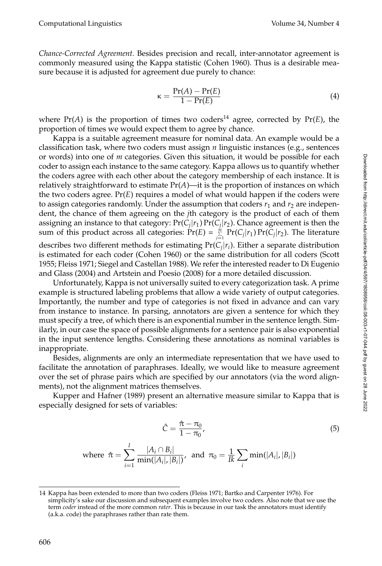*Chance-Corrected Agreement.* Besides precision and recall, inter-annotator agreement is commonly measured using the Kappa statistic (Cohen 1960). Thus is a desirable measure because it is adjusted for agreement due purely to chance:

$$
\kappa = \frac{\Pr(A) - \Pr(E)}{1 - \Pr(E)}\tag{4}
$$

where  $Pr(A)$  is the proportion of times two coders<sup>14</sup> agree, corrected by  $Pr(E)$ , the proportion of times we would expect them to agree by chance.

Kappa is a suitable agreement measure for nominal data. An example would be a classification task, where two coders must assign *n* linguistic instances (e.g., sentences or words) into one of *m* categories. Given this situation, it would be possible for each coder to assign each instance to the same category. Kappa allows us to quantify whether the coders agree with each other about the category membership of each instance. It is relatively straightforward to estimate  $Pr(A)$ —it is the proportion of instances on which the two coders agree.  $Pr(E)$  requires a model of what would happen if the coders were to assign categories randomly. Under the assumption that coders  $r_1$  and  $r_2$  are independent, the chance of them agreeing on the *j*th category is the product of each of them assigning an instance to that category:  $Pr(C_i|r_1) Pr(C_i|r_2)$ . Chance agreement is then the sum of this product across all categories:  $\Pr(E) = \sum_{j=1}^{m} \Pr(C_j | r_1) \Pr(C_j | r_2)$ . The literature describes two different methods for estimating Pr(*Cj*|*ri*). Either a separate distribution is estimated for each coder (Cohen 1960) or the same distribution for all coders (Scott 1955; Fleiss 1971; Siegel and Castellan 1988). We refer the interested reader to Di Eugenio and Glass (2004) and Artstein and Poesio (2008) for a more detailed discussion.

Unfortunately, Kappa is not universally suited to every categorization task. A prime example is structured labeling problems that allow a wide variety of output categories. Importantly, the number and type of categories is not fixed in advance and can vary from instance to instance. In parsing, annotators are given a sentence for which they must specify a tree, of which there is an exponential number in the sentence length. Similarly, in our case the space of possible alignments for a sentence pair is also exponential in the input sentence lengths. Considering these annotations as nominal variables is inappropriate.

Besides, alignments are only an intermediate representation that we have used to facilitate the annotation of paraphrases. Ideally, we would like to measure agreement over the set of phrase pairs which are specified by our annotators (via the word alignments), not the alignment matrices themselves.

Kupper and Hafner (1989) present an alternative measure similar to Kappa that is especially designed for sets of variables:

$$
\hat{C} = \frac{\hat{\pi} - \pi_0}{1 - \pi_0},\tag{5}
$$

where 
$$
\hat{\pi} = \sum_{i=1}^{I} \frac{|A_i \cap B_i|}{\min(|A_i|, |B_i|)},
$$
 and  $\pi_0 = \frac{1}{I_k} \sum_{i} \min(|A_i|, |B_i|)$ 

<sup>14</sup> Kappa has been extended to more than two coders (Fleiss 1971; Bartko and Carpenter 1976). For simplicity's sake our discussion and subsequent examples involve two coders. Also note that we use the term *coder* instead of the more common *rater*. This is because in our task the annotators must identify (a.k.a. code) the paraphrases rather than rate them.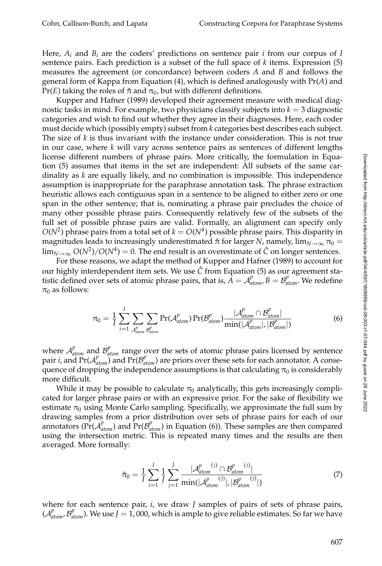Here,  $A_i$  and  $B_i$  are the coders' predictions on sentence pair *i* from our corpus of *I* sentence pairs. Each prediction is a subset of the full space of *k* items. Expression (5) measures the agreement (or concordance) between coders *A* and *B* and follows the general formof Kappa fromEquation (4), which is defined analogously with Pr(*A*) and Pr(*E*) taking the roles of  $\hat{\pi}$  and  $\pi_0$ , but with different definitions.

Kupper and Hafner (1989) developed their agreement measure with medical diagnostic tasks in mind. For example, two physicians classify subjects into  $k = 3$  diagnostic categories and wish to find out whether they agree in their diagnoses. Here, each coder must decide which (possibly empty) subset from *k* categories best describes each subject. The size of *k* is thus invariant with the instance under consideration. This is not true in our case, where *k* will vary across sentence pairs as sentences of different lengths license different numbers of phrase pairs. More critically, the formulation in Equation (5) assumes that items in the set are independent: All subsets of the same cardinality as *k* are equally likely, and no combination is impossible. This independence assumption is inappropriate for the paraphrase annotation task. The phrase extraction heuristic allows each contiguous span in a sentence to be aligned to either zero or one span in the other sentence; that is, nominating a phrase pair precludes the choice of many other possible phrase pairs. Consequently relatively few of the subsets of the full set of possible phrase pairs are valid. Formally, an alignment can specify only  $O(N^2)$  phrase pairs from a total set of  $k = O(N^4)$  possible phrase pairs. This disparity in magnitudes leads to increasingly underestimated  $\hat{\pi}$  for larger *N*, namely,  $\lim_{N\to\infty}\pi_0$  =  $\lim_{N\to\infty} O(N^2)/O(N^4) = 0$ . The end result is an overestimate of  $\hat{C}$  on longer sentences.

For these reasons, we adapt the method of Kupper and Hafner (1989) to account for our highly interdependent item sets. We use  $\hat{C}$  from Equation (5) as our agreement statistic defined over sets of atomic phrase pairs, that is,  $\vec{A} = A_{atom}^p, \vec{B} = B_{atom}^p$ . We redefine  $\pi_0$  as follows:

$$
\pi_0 = \frac{1}{I} \sum_{i=1}^{I} \sum_{\mathcal{A}_{atom}^p} \sum_{\mathcal{B}_{atom}^p} \Pr(\mathcal{A}_{atom}^p) \Pr(\mathcal{B}_{atom}^p) \frac{|\mathcal{A}_{atom}^p \cap \mathcal{B}_{atom}^p|}{\min(|\mathcal{A}_{atom}^p|, |\mathcal{B}_{atom}^p|)}
$$
(6)

where  $A_{atom}^p$  and  $B_{atom}^p$  range over the sets of atomic phrase pairs licensed by sentence pair *i*, and  $Pr(A_{atom}^p)$  and  $Pr(B_{atom}^p)$  are priors over these sets for each annotator. A consequence of dropping the independence assumptions is that calculating  $\pi_0$  is considerably more difficult.

While it may be possible to calculate  $\pi_0$  analytically, this gets increasingly complicated for larger phrase pairs or with an expressive prior. For the sake of flexibility we estimate  $\pi_0$  using Monte Carlo sampling. Specifically, we approximate the full sum by drawing samples from a prior distribution over sets of phrase pairs for each of our annotators ( $Pr(A_{atom}^p)$  and  $Pr(B_{atom}^p)$  in Equation (6)). These samples are then compared using the intersection metric. This is repeated many times and the results are then averaged. More formally:

$$
\hat{\pi}_0 = \frac{1}{I} \sum_{i=1}^I \frac{1}{J} \sum_{j=1}^J \frac{|\mathcal{A}_{atom}^{p}(j) \cap \mathcal{B}_{atom}^{p}(j)|}{\min(|\mathcal{A}_{atom}^{p}(j)|, |\mathcal{B}_{atom}^{p}(j)|)}
$$
(7)

where for each sentence pair, *i*, we draw *J* samples of pairs of sets of phrase pairs,  $(A_{atom}^p, B_{atom}^p)$ . We use  $J = 1$ , 000, which is ample to give reliable estimates. So far we have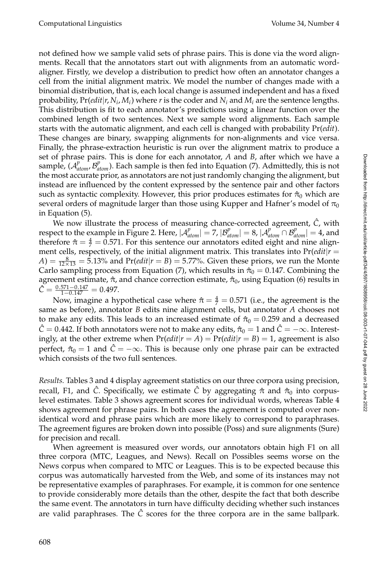not defined how we sample valid sets of phrase pairs. This is done via the word alignments. Recall that the annotators start out with alignments from an automatic wordaligner. Firstly, we develop a distribution to predict how often an annotator changes a cell from the initial alignment matrix. We model the number of changes made with a binomial distribution, that is, each local change is assumed independent and has a fixed probability,  $Pr(\text{edit}|r, N_i, M_i)$  where *r* is the coder and  $N_i$  and  $M_i$  are the sentence lengths. This distribution is fit to each annotator's predictions using a linear function over the combined length of two sentences. Next we sample word alignments. Each sample starts with the automatic alignment, and each cell is changed with probability Pr(*edit*). These changes are binary, swapping alignments for non-alignments and vice versa. Finally, the phrase-extraction heuristic is run over the alignment matrix to produce a set of phrase pairs. This is done for each annotator, *A* and *B*, after which we have a sample,  $(A_{atom}^p, B_{atom}^p)$ . Each sample is then fed into Equation (7). Admittedly, this is not the most accurate prior, as annotators are not just randomly changing the alignment, but instead are influenced by the content expressed by the sentence pair and other factors such as syntactic complexity. However, this prior produces estimates for  $\hat{\pi}_0$  which are several orders of magnitude larger than those using Kupper and Hafner's model of  $\pi_0$ in Equation (5).

We now illustrate the process of measuring chance-corrected agreement,  $\hat{C}$ , with respect to the example in Figure 2. Here,  $|A_{atom}^p| = 7$ ,  $|B_{atom}^p| = 8$ ,  $|A_{atom}^p \cap B_{atom}^p| = 4$ , and therefore  $\hat{\pi} = \frac{4}{7} = 0.571$ . For this sentence our annotators edited eight and nine alignment cells, respectively, of the initial alignment matrix. This translates into Pr(*edit*|*r* =  $A) = \frac{8}{12 \times 13} = 5.13\%$  and  $Pr(edit | r = B) = 5.77\%$ . Given these priors, we run the Monte Carlo sampling process from Equation (7), which results in  $\hat{\pi}_0 = 0.147$ . Combining the agreement estimate,  $\hat{\pi}$ , and chance correction estimate,  $\hat{\pi}_0$ , using Equation (6) results in  $\hat{C} = \frac{0.571 - 0.147}{1 - 0.147} = 0.497.$ 

Now, imagine a hypothetical case where  $\hat{\pi} = \frac{4}{7} = 0.571$  (i.e., the agreement is the same as before), annotator *B* edits nine alignment cells, but annotator *A* chooses not to make any edits. This leads to an increased estimate of  $\hat{\pi}_0 = 0.259$  and a decreased  $\hat{C} = 0.442$ . If both annotators were not to make any edits,  $\hat{\pi}_0 = 1$  and  $\hat{C} = -\infty$ . Interestingly, at the other extreme when  $Pr(\text{edit}|r = A) = Pr(\text{edit}|r = B) = 1$ , agreement is also perfect,  $\hat{\pi}_0 = 1$  and  $\hat{C} = -\infty$ . This is because only one phrase pair can be extracted which consists of the two full sentences.

*Results.* Tables 3 and 4 display agreement statistics on our three corpora using precision, recall, F1, and *C*̂. Specifically, we estimate *C*̂ by aggregating  $\hat{\pi}$  and  $\hat{\pi}_0$  into corpuslevel estimates. Table 3 shows agreement scores for individual words, whereas Table 4 shows agreement for phrase pairs. In both cases the agreement is computed over nonidentical word and phrase pairs which are more likely to correspond to paraphrases. The agreement figures are broken down into possible (Poss) and sure alignments (Sure) for precision and recall.

When agreement is measured over words, our annotators obtain high F1 on all three corpora (MTC, Leagues, and News). Recall on Possibles seems worse on the News corpus when compared to MTC or Leagues. This is to be expected because this corpus was automatically harvested from the Web, and some of its instances may not be representative examples of paraphrases. For example, it is common for one sentence to provide considerably more details than the other, despite the fact that both describe the same event. The annotators in turn have difficulty deciding whether such instances are valid paraphrases. The  $\ddot{C}$  scores for the three corpora are in the same ballpark.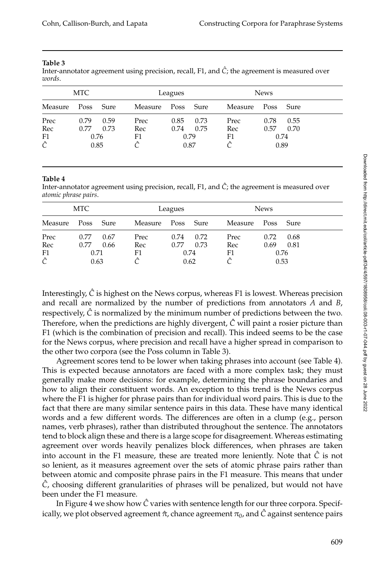#### **Table 3**

Inter-annotator agreement using precision, recall, F1, and  $\hat{C}$ ; the agreement is measured over *words*.

| MTC     |           |      |         | Leagues   |      |         | <b>News</b> |      |  |
|---------|-----------|------|---------|-----------|------|---------|-------------|------|--|
| Measure | Poss Sure |      | Measure | Poss Sure |      | Measure | Poss        | Sure |  |
| Prec    | 0.79      | 0.59 | Prec    | 0.85      | 0.73 | Prec    | 0.78        | 0.55 |  |
| Rec     | 0.77      | 0.73 | Rec     | 0.74      | 0.75 | Rec     | 0.57        | 0.70 |  |
| F1      | 0.76      |      | F1      | 0.79      |      | F1      |             | 0.74 |  |
| Ĉ       | 0.85      |      | Â       | 0.87      |      |         |             | 0.89 |  |

#### **Table 4**

Inter-annotator agreement using precision, recall, F1, and  $\hat{C}$ ; the agreement is measured over *atomic phrase pairs*.

| MTC     |           |      | Leagues |           |      | <b>News</b> |      |      |
|---------|-----------|------|---------|-----------|------|-------------|------|------|
| Measure | Poss Sure |      | Measure | Poss Sure |      | Measure     | Poss | Sure |
| Prec    | 0.77      | 0.67 | Prec    | 0.74      | 0.72 | Prec        | 0.72 | 0.68 |
| Rec     | 0.77      | 0.66 | Rec     | 0.77      | 0.73 | Rec         | 0.69 | 0.81 |
| F1      | 0.71      |      | F1      | 0.74      |      | F1          |      | 0.76 |
| Ĉ       |           | 0.63 |         | 0.62      |      |             | 0.53 |      |

Interestingly,  $\hat{C}$  is highest on the News corpus, whereas F1 is lowest. Whereas precision and recall are normalized by the number of predictions from annotators *A* and *B*, respectively,  $\hat{C}$  is normalized by the minimum number of predictions between the two. Therefore, when the predictions are highly divergent,  $\hat{C}$  will paint a rosier picture than F1 (which is the combination of precision and recall). This indeed seems to be the case for the News corpus, where precision and recall have a higher spread in comparison to the other two corpora (see the Poss column in Table 3).

Agreement scores tend to be lower when taking phrases into account (see Table 4). This is expected because annotators are faced with a more complex task; they must generally make more decisions: for example, determining the phrase boundaries and how to align their constituent words. An exception to this trend is the News corpus where the F1 is higher for phrase pairs than for individual word pairs. This is due to the fact that there are many similar sentence pairs in this data. These have many identical words and a few different words. The differences are often in a clump (e.g., person names, verb phrases), rather than distributed throughout the sentence. The annotators tend to block align these and there is a large scope for disagreement. Whereas estimating agreement over words heavily penalizes block differences, when phrases are taken into account in the F1 measure, these are treated more leniently. Note that  $\hat{C}$  is not so lenient, as it measures agreement over the sets of atomic phrase pairs rather than between atomic and composite phrase pairs in the F1 measure. This means that under *C*ˆ, choosing different granularities of phrases will be penalized, but would not have been under the F1 measure.

In Figure 4 we show how  $\hat{C}$  varies with sentence length for our three corpora. Specifically, we plot observed agreement  $\hat{\pi}$ , chance agreement  $\pi_0$ , and  $\hat{C}$  against sentence pairs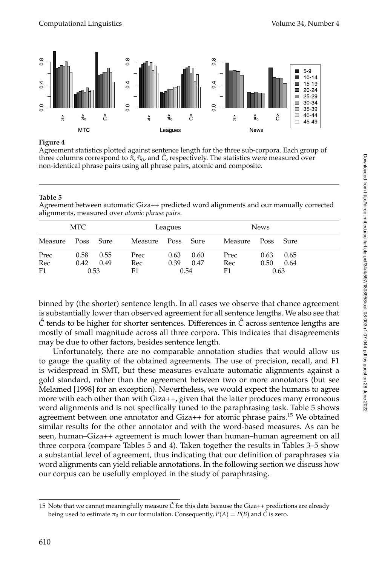

## **Figure 4**

Agreement statistics plotted against sentence length for the three sub-corpora. Each group of three columns correspond to  $\hat{\pi}, \hat{\pi}_0$ , and  $\hat{C}$ , respectively. The statistics were measured over non-identical phrase pairs using all phrase pairs, atomic and composite.

## **Table 5**

Agreement between automatic Giza++ predicted word alignments and our manually corrected alignments, measured over *atomic phrase pairs*.

| MTC       |      |              |           | Leagues   |              |           | <b>News</b> |              |  |
|-----------|------|--------------|-----------|-----------|--------------|-----------|-------------|--------------|--|
| Measure   | Poss | Sure         | Measure   | Poss Sure |              | Measure   | Poss        | Sure         |  |
| Prec      | 0.58 | 0.55         | Prec      | 0.63      | 0.60         | Prec      | 0.63        | 0.65         |  |
| Rec<br>F1 | 0.42 | 0.49<br>0.53 | Rec<br>F1 | 0.39      | 0.47<br>0.54 | Rec<br>F1 | 0.50        | 0.64<br>0.63 |  |

binned by (the shorter) sentence length. In all cases we observe that chance agreement is substantially lower than observed agreement for all sentence lengths. We also see that *C*ˆ tends to be higher for shorter sentences. Differences in *C*ˆ across sentence lengths are mostly of small magnitude across all three corpora. This indicates that disagreements may be due to other factors, besides sentence length.

Unfortunately, there are no comparable annotation studies that would allow us to gauge the quality of the obtained agreements. The use of precision, recall, and F1 is widespread in SMT, but these measures evaluate automatic alignments against a gold standard, rather than the agreement between two or more annotators (but see Melamed [1998] for an exception). Nevertheless, we would expect the humans to agree more with each other than with Giza++, given that the latter produces many erroneous word alignments and is not specifically tuned to the paraphrasing task. Table 5 shows agreement between one annotator and  $Giza++$  for atomic phrase pairs.<sup>15</sup> We obtained similar results for the other annotator and with the word-based measures. As can be seen, human–Giza++ agreement is much lower than human–human agreement on all three corpora (compare Tables 5 and 4). Taken together the results in Tables 3–5 show a substantial level of agreement, thus indicating that our definition of paraphrases via word alignments can yield reliable annotations. In the following section we discuss how our corpus can be usefully employed in the study of paraphrasing.

<sup>15</sup> Note that we cannot meaningfully measure *C*ˆ for this data because the Giza++ predictions are already being used to estimate  $\pi_0$  in our formulation. Consequently,  $P(A) = P(B)$  and  $\hat{C}$  is zero.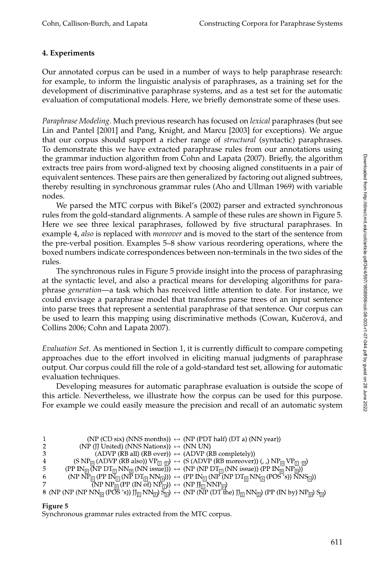# **4. Experiments**

Our annotated corpus can be used in a number of ways to help paraphrase research: for example, to inform the linguistic analysis of paraphrases, as a training set for the development of discriminative paraphrase systems, and as a test set for the automatic evaluation of computational models. Here, we briefly demonstrate some of these uses.

*Paraphrase Modeling.* Much previous research has focused on *lexical* paraphrases (but see Lin and Pantel [2001] and Pang, Knight, and Marcu [2003] for exceptions). We argue that our corpus should support a richer range of *structural* (syntactic) paraphrases. To demonstrate this we have extracted paraphrase rules from our annotations using the grammar induction algorithm from Cohn and Lapata (2007). Briefly, the algorithm extracts tree pairs fromword-aligned text by choosing aligned constituents in a pair of equivalent sentences. These pairs are then generalized by factoring out aligned subtrees, thereby resulting in synchronous grammar rules (Aho and Ullman 1969) with variable nodes.

We parsed the MTC corpus with Bikel's (2002) parser and extracted synchronous rules from the gold-standard alignments. A sample of these rules are shown in Figure 5. Here we see three lexical paraphrases, followed by five structural paraphrases. In example 4, *also* is replaced with *moreover* and is moved to the start of the sentence from the pre-verbal position. Examples 5–8 show various reordering operations, where the boxed numbers indicate correspondences between non-terminals in the two sides of the rules.

The synchronous rules in Figure 5 provide insight into the process of paraphrasing at the syntactic level, and also a practical means for developing algorithms for paraphrase *generation*—a task which has received little attention to date. For instance, we could envisage a paraphrase model that transforms parse trees of an input sentence into parse trees that represent a sentential paraphrase of that sentence. Our corpus can be used to learn this mapping using discriminative methods (Cowan, Kučerová, and Collins 2006; Cohn and Lapata 2007).

*Evaluation Set.* As mentioned in Section 1, it is currently difficult to compare competing approaches due to the effort involved in eliciting manual judgments of paraphrase output. Our corpus could fill the role of a gold-standard test set, allowing for automatic evaluation techniques.

Developing measures for automatic paraphrase evaluation is outside the scope of this article. Nevertheless, we illustrate how the corpus can be used for this purpose. For example we could easily measure the precision and recall of an automatic system

| 1 | (NP (CD six) (NNS months)) $\leftrightarrow$ (NP (PDT half) (DT a) (NN year))                                                                                                                                                                         |
|---|-------------------------------------------------------------------------------------------------------------------------------------------------------------------------------------------------------------------------------------------------------|
| 2 | (NP (JJ United) (NNS Nations)) $\leftrightarrow$ (NN UN)                                                                                                                                                                                              |
| 3 | $(ADVP (RB all) (RB over)) \leftrightarrow (ADVP (RB completely))$                                                                                                                                                                                    |
| 4 | (S NP <sub>[0]</sub> (ADVP (RB also)) $VP_{\boxed{1}}$ (2) $\leftrightarrow$ (S (ADVP (RB moreover)) (, ,) $NP_{\boxed{0}} VP_{\boxed{1}}$ (2)                                                                                                        |
| 5 | $(PP IN_{\overline{[0]}}(\overline{NP} DT_{\overline{[1]}}NN_{\overline{[2]}}(NN issue))) \leftrightarrow (NP (NP DT_{\overline{[1]}}(NN issue))(PP IN_{\overline{[0]}}'NP_{\overline{[2]}}))$                                                        |
| 6 | $(NP\ N\overline{P_{[0]}}(PP\ IN_{\overline{[1]}}(NP\ DT_{\overline{[2]}}NN_{\overline{[3]}}))\rangle \leftrightarrow (PP\ IN_{\overline{[1]}}(NP\ \overline{OP}\ DN_{\overline{[2]}}NN_{\overline{[3]}}(POS^7s))\ \overline{N}NS_{\overline{[0]}}))$ |
| 7 | $\overline{(NP NP_{\overline{[0]}}(PP (IN\overline{of}) NP_{\overline{[1]}})) \leftrightarrow (NP JJ_{\overline{[1]}} NN P_{\overline{[0]}})}$                                                                                                        |
|   | 8 (NP (NP (NP NN <sub>I0</sub> (POS's)) $JJ_{\Pi}NN_{\Pi}$ S <sub>[3</sub> ] $\leftrightarrow$ (NP (NP (DT the) $JJ_{\Pi}NN_{\Pi}$ (PP (IN by) $NP_{\Pi}$ S <sub>[3</sub> ]                                                                           |

# **Figure 5**

Synchronous grammar rules extracted from the MTC corpus.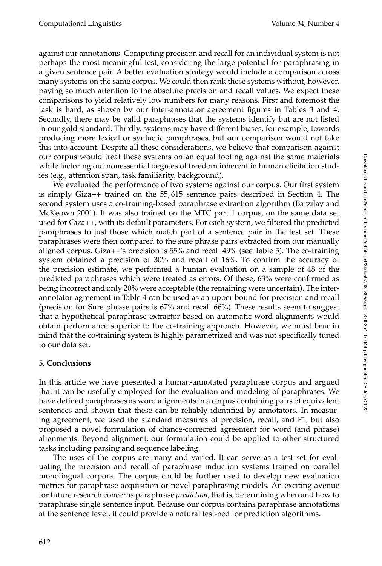against our annotations. Computing precision and recall for an individual system is not perhaps the most meaningful test, considering the large potential for paraphrasing in a given sentence pair. A better evaluation strategy would include a comparison across many systems on the same corpus. We could then rank these systems without, however, paying so much attention to the absolute precision and recall values. We expect these comparisons to yield relatively low numbers for many reasons. First and foremost the task is hard, as shown by our inter-annotator agreement figures in Tables 3 and 4. Secondly, there may be valid paraphrases that the systems identify but are not listed in our gold standard. Thirdly, systems may have different biases, for example, towards producing more lexical or syntactic paraphrases, but our comparison would not take this into account. Despite all these considerations, we believe that comparison against our corpus would treat these systems on an equal footing against the same materials while factoring out nonessential degrees of freedominherent in human elicitation studies (e.g., attention span, task familiarity, background).

We evaluated the performance of two systems against our corpus. Our first system is simply Giza++ trained on the 55, 615 sentence pairs described in Section 4. The second system uses a co-training-based paraphrase extraction algorithm (Barzilay and McKeown 2001). It was also trained on the MTC part 1 corpus, on the same data set used for Giza++, with its default parameters. For each system, we filtered the predicted paraphrases to just those which match part of a sentence pair in the test set. These paraphrases were then compared to the sure phrase pairs extracted from our manually aligned corpus. Giza++'s precision is 55% and recall 49% (see Table 5). The co-training system obtained a precision of 30% and recall of 16%. To confirm the accuracy of the precision estimate, we performed a human evaluation on a sample of 48 of the predicted paraphrases which were treated as errors. Of these, 63% were confirmed as being incorrect and only 20% were acceptable (the remaining were uncertain). The interannotator agreement in Table 4 can be used as an upper bound for precision and recall (precision for Sure phrase pairs is 67% and recall 66%). These results seemto suggest that a hypothetical paraphrase extractor based on automatic word alignments would obtain performance superior to the co-training approach. However, we must bear in mind that the co-training system is highly parametrized and was not specifically tuned to our data set.

# **5. Conclusions**

In this article we have presented a human-annotated paraphrase corpus and argued that it can be usefully employed for the evaluation and modeling of paraphrases. We have defined paraphrases as word alignments in a corpus containing pairs of equivalent sentences and shown that these can be reliably identified by annotators. In measuring agreement, we used the standard measures of precision, recall, and F1, but also proposed a novel formulation of chance-corrected agreement for word (and phrase) alignments. Beyond alignment, our formulation could be applied to other structured tasks including parsing and sequence labeling.

The uses of the corpus are many and varied. It can serve as a test set for evaluating the precision and recall of paraphrase induction systems trained on parallel monolingual corpora. The corpus could be further used to develop new evaluation metrics for paraphrase acquisition or novel paraphrasing models. An exciting avenue for future research concerns paraphrase *prediction*, that is, determining when and how to paraphrase single sentence input. Because our corpus contains paraphrase annotations at the sentence level, it could provide a natural test-bed for prediction algorithms.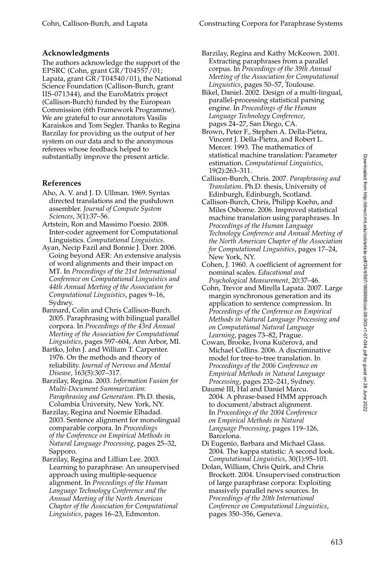# **Acknowledgments**

The authors acknowledge the support of the EPSRC (Cohn, grant GR/T04557/01; Lapata, grant GR/T04540/01), the National Science Foundation (Callison-Burch, grant IIS-071344), and the EuroMatrix project (Callison-Burch) funded by the European Commission (6th Framework Programme). We are grateful to our annotators Vasilis Karaiskos and Tom Segler. Thanks to Regina Barzilay for providing us the output of her system on our data and to the anonymous referees whose feedback helped to substantially improve the present article.

# **References**

- Aho, A. V. and J. D. Ullman. 1969. Syntax directed translations and the pushdown assembler. *Journal of Compute System Sciences*, 3(1):37–56.
- Artstein, Ron and Massimo Poesio. 2008. Inter-coder agreement for Computational Linguistics. *Computational Linguistics*.
- Ayan, Necip Fazil and Bonnie J. Dorr. 2006. Going beyond AER: An extensive analysis of word alignments and their impact on MT. In *Proceedings of the 21st International Conference on Computational Linguistics and 44th Annual Meeting of the Association for Computational Linguistics*, pages 9–16, Sydney.
- Bannard, Colin and Chris Callison-Burch. 2005. Paraphrasing with bilingual parallel corpora. In *Proceedings of the 43rd Annual Meeting of the Association for Computational Linguistics*, pages 597–604, Ann Arbor, MI.
- Bartko, John J. and William T. Carpenter. 1976. On the methods and theory of reliability. *Journal of Nervous and Mental Disease*, 163(5):307–317.
- Barzilay, Regina. 2003. *Information Fusion for Multi-Document Summarization: Paraphrasing and Generation*. Ph.D. thesis, Columbia University, New York, NY.
- Barzilay, Regina and Noemie Elhadad. 2003. Sentence alignment for monolingual comparable corpora. In *Proceedings of the Conference on Empirical Methods in Natural Language Processing*, pages 25–32, Sapporo.
- Barzilay, Regina and Lillian Lee. 2003. Learning to paraphrase: An unsupervised approach using multiple-sequence alignment. In *Proceedings of the Human Language Technology Conference and the Annual Meeting of the North American Chapter of the Association for Computational Linguistics*, pages 16–23, Edmonton.

Barzilay, Regina and Kathy McKeown. 2001. Extracting paraphrases from a parallel corpus. In *Proceedings of the 39th Annual Meeting of the Association for Computational Linguistics*, pages 50–57, Toulouse.

- Bikel, Daniel. 2002. Design of a multi-lingual, parallel-processing statistical parsing engine. In *Proceedings of the Human Language Technology Conference*, pages 24–27, San Diego, CA.
- Brown, Peter F., Stephen A. Della-Pietra, Vincent J. Della-Pietra, and Robert L. Mercer. 1993. The mathematics of statistical machine translation: Parameter estimation. *Computational Linguistics*, 19(2):263–311.
- Callison-Burch, Chris. 2007. *Paraphrasing and Translation*. Ph.D. thesis, University of Edinburgh, Edinburgh, Scotland.
- Callison-Burch, Chris, Philipp Koehn, and Miles Osborne. 2006. Improved statistical machine translation using paraphrases. In *Proceedings of the Human Language Technology Conference and Annual Meeting of the North American Chapter of the Association for Computational Linguistics*, pages 17–24, New York, NY.
- Cohen, J. 1960. A coefficient of agreement for nominal scales. *Educational and Psychological Measurement*, 20:37–46.
- Cohn, Trevor and Mirella Lapata. 2007. Large margin synchronous generation and its application to sentence compression. In *Proceedings of the Conference on Empirical Methods in Natural Language Processing and on Computational Natural Language Learning*, pages 73–82, Prague.
- Cowan, Brooke, Ivona Kučerová, and Michael Collins. 2006. A discriminative model for tree-to-tree translation. In *Proceedings of the 2006 Conference on Empirical Methods in Natural Language Processing*, pages 232–241, Sydney.
- Daumé III, Hal and Daniel Marcu. 2004. A phrase-based HMM approach to document/abstract alignment. In *Proceedings of the 2004 Conference on Empirical Methods in Natural Language Processing*, pages 119–126, Barcelona.
- Di Eugenio, Barbara and Michael Glass. 2004. The kappa statistic: A second look. *Computational Linguistics*, 30(1):95–101.
- Dolan, William, Chris Quirk, and Chris Brockett. 2004. Unsupervised construction of large paraphrase corpora: Exploiting massively parallel news sources. In *Proceedings of the 20th International Conference on Computational Linguistics*, pages 350–356, Geneva.